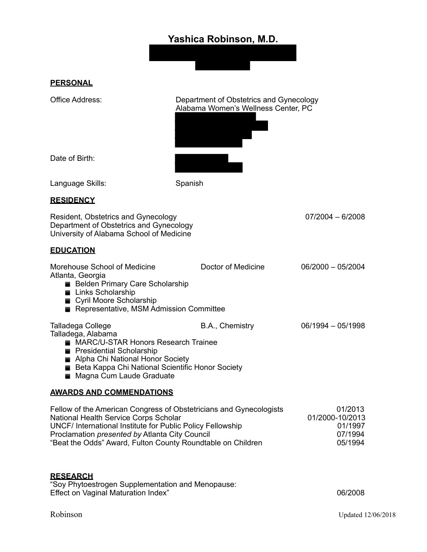# **Yashica Robinson, M.D.**



**PERSONAL**

Office Address: Department of Obstetrics and Gynecology Alabama Women's Wellness Center, PC



Date of Birth:

Language Skills: Spanish

# **RESIDENCY**

Resident, Obstetrics and Gynecology 07/2004 – 6/2008 Department of Obstetrics and Gynecology University of Alabama School of Medicine

#### **EDUCATION**

| Morehouse School of Medicine<br>Atlanta, Georgia<br>Belden Primary Care Scholarship<br>Links Scholarship<br>Cyril Moore Scholarship<br>Representative, MSM Admission Committee                                                                                             | Doctor of Medicine | $06/2000 - 05/2004$ |
|----------------------------------------------------------------------------------------------------------------------------------------------------------------------------------------------------------------------------------------------------------------------------|--------------------|---------------------|
| Talladega College<br>Talladega, Alabama<br>MARC/U-STAR Honors Research Trainee<br><b>Presidential Scholarship</b><br>Alpha Chi National Honor Society<br>■ Beta Kappa Chi National Scientific Honor Society<br>Magna Cum Laude Graduate<br><b>AWARDS AND COMMENDATIONS</b> | B.A., Chemistry    | $06/1994 - 05/1998$ |

Fellow of the American Congress of Obstetricians and Gynecologists 01/2013 National Health Service Corps Scholar<br>UNCF/ International Institute for Public Policy Fellowship 01/2000-10/2013 UNCF/ International Institute for Public Policy Fellowship Proclamation *presented by* Atlanta City Council **1994** 07/1994 "Beat the Odds" Award, Fulton County Roundtable on Children 05/1994

# **RESEARCH**

"Soy Phytoestrogen Supplementation and Menopause: Effect on Vaginal Maturation Index" 06/2008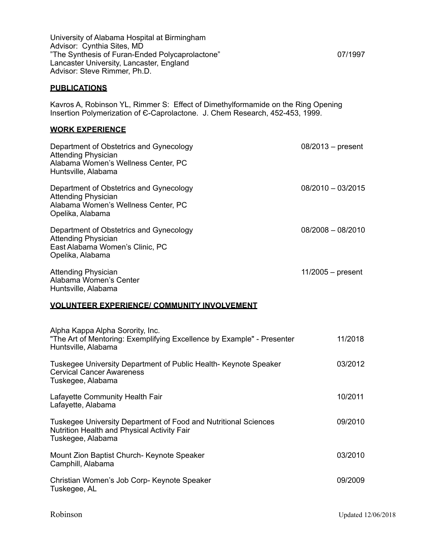University of Alabama Hospital at Birmingham Advisor: Cynthia Sites, MD "The Synthesis of Furan-Ended Polycaprolactone" 07/1997 Lancaster University, Lancaster, England Advisor: Steve Rimmer, Ph.D.

#### **PUBLICATIONS**

Kavros A, Robinson YL, Rimmer S: Effect of Dimethylformamide on the Ring Opening Insertion Polymerization of E-Caprolactone. J. Chem Research, 452-453, 1999.

#### **WORK EXPERIENCE**

| Department of Obstetrics and Gynecology<br><b>Attending Physician</b><br>Alabama Women's Wellness Center, PC<br>Huntsville, Alabama | $08/2013$ – present |
|-------------------------------------------------------------------------------------------------------------------------------------|---------------------|
| Department of Obstetrics and Gynecology<br><b>Attending Physician</b><br>Alabama Women's Wellness Center, PC<br>Opelika, Alabama    | $08/2010 - 03/2015$ |
| Department of Obstetrics and Gynecology<br><b>Attending Physician</b><br>East Alabama Women's Clinic, PC<br>Opelika, Alabama        | $08/2008 - 08/2010$ |
| <b>Attending Physician</b><br>Alabama Women's Center<br>Huntsville, Alabama                                                         | $11/2005 - present$ |

#### **VOLUNTEER EXPERIENCE/ COMMUNITY INVOLVEMENT**

| Alpha Kappa Alpha Sorority, Inc.<br>"The Art of Mentoring: Exemplifying Excellence by Example" - Presenter<br>Huntsville, Alabama   | 11/2018 |
|-------------------------------------------------------------------------------------------------------------------------------------|---------|
| Tuskegee University Department of Public Health- Keynote Speaker<br><b>Cervical Cancer Awareness</b><br>Tuskegee, Alabama           | 03/2012 |
| Lafayette Community Health Fair<br>Lafayette, Alabama                                                                               | 10/2011 |
| Tuskegee University Department of Food and Nutritional Sciences<br>Nutrition Health and Physical Activity Fair<br>Tuskegee, Alabama | 09/2010 |
| Mount Zion Baptist Church- Keynote Speaker<br>Camphill, Alabama                                                                     | 03/2010 |
| Christian Women's Job Corp- Keynote Speaker<br>Tuskegee, AL                                                                         | 09/2009 |